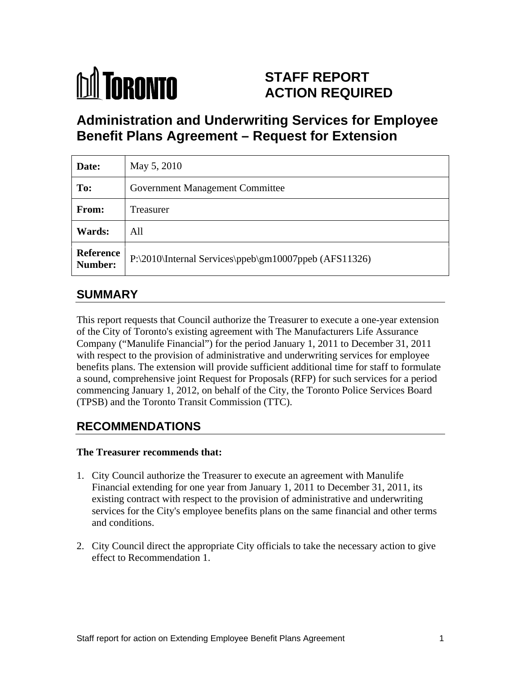

# **STAFF REPORT ACTION REQUIRED**

# **Administration and Underwriting Services for Employee Benefit Plans Agreement – Request for Extension**

| Date:         | May 5, 2010                                                     |  |
|---------------|-----------------------------------------------------------------|--|
| To:           | <b>Government Management Committee</b>                          |  |
| From:         | Treasurer                                                       |  |
| <b>Wards:</b> | All                                                             |  |
|               | Reference P:\2010\Internal Services\ppeb\gm10007ppeb (AFS11326) |  |

## **SUMMARY**

This report requests that Council authorize the Treasurer to execute a one-year extension of the City of Toronto's existing agreement with The Manufacturers Life Assurance Company ("Manulife Financial") for the period January 1, 2011 to December 31, 2011 with respect to the provision of administrative and underwriting services for employee benefits plans. The extension will provide sufficient additional time for staff to formulate a sound, comprehensive joint Request for Proposals (RFP) for such services for a period commencing January 1, 2012, on behalf of the City, the Toronto Police Services Board (TPSB) and the Toronto Transit Commission (TTC).

## **RECOMMENDATIONS**

#### **The Treasurer recommends that:**

- 1. City Council authorize the Treasurer to execute an agreement with Manulife Financial extending for one year from January 1, 2011 to December 31, 2011, its existing contract with respect to the provision of administrative and underwriting services for the City's employee benefits plans on the same financial and other terms and conditions.
- 2. City Council direct the appropriate City officials to take the necessary action to give effect to Recommendation 1.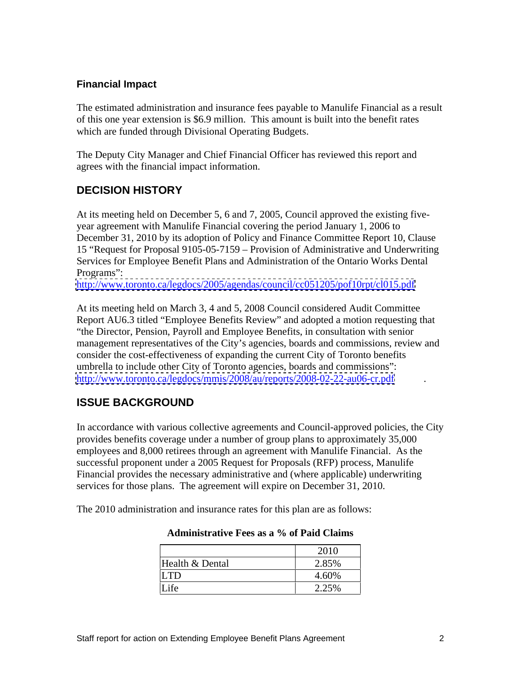#### **Financial Impact**

The estimated administration and insurance fees payable to Manulife Financial as a result of this one year extension is \$6.9 million. This amount is built into the benefit rates which are funded through Divisional Operating Budgets.<br>The Deputy City Manager and Chief Financial Officer has reviewed this report and

agrees with the financial impact information.

### **DECISION HISTORY**

At its meeting held on December 5, 6 and 7, 2005, Council approved the existing five year agreement with Manulife Financial covering the period January 1, 2006 to December 31, 2010 by its adoption of Policy and Finance Committee Report 10, Clause 15 "Request for Proposal 9105-05-7159 – Provision of Administrative and Underwriting Services for Employee Benefit Plans and Administration of the Ontario Works Dental Programs":

<http://www.toronto.ca/legdocs/2005/agendas/council/cc051205/pof10rpt/cl015.pdf>

At its meeting held on March 3, 4 and 5, 2008 Council considered Audit Committee Report AU6.3 titled "Employee Benefits Review" and adopted a motion requesting that "the Director, Pension, Payroll and Employee Benefits, in consultation with senior management representatives of the City's agencies, boards and commissions, review and consider the cost-effectiveness of expanding the current City of Toronto benefits umbrella to include other City of Toronto agencies, boards and commissions": <http://www.toronto.ca/legdocs/mmis/2008/au/reports/2008-02-22-au06-cr.pdf>

### **ISSUE BACKGROUND**

In accordance with various collective agreements and Council-approved policies, the City provides benefits coverage under a number of group plans to approximately 35,000 employees and 8,000 retirees through an agreement with Manulife Financial. As the successful proponent under a 2005 Request for Proposals (RFP) process, Manulife Financial provides the necessary administrative and (where applicable) underwriting services for those plans. The agreement will expire on December 31, 2010.

The 2010 administration and insurance rates for this plan are as follows:

|                 | $\Omega$<br>2010 |
|-----------------|------------------|
| Health & Dental | 2.85%<br>----    |
|                 | 4.60%            |
|                 | 2.250/<br>2.2JW  |

#### **Administrative Fees as a % of Paid Claims**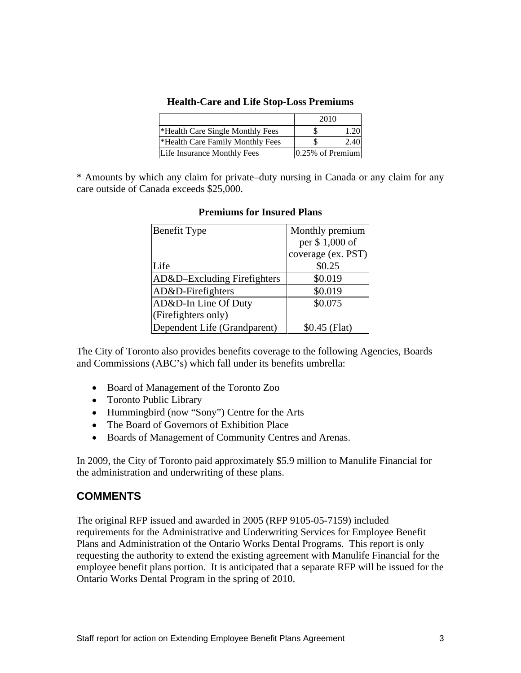#### **Health-Care and Life Stop-Loss Premiums**

|                                  | $\mathbf{A}$ $\mathbf{A}$<br>2010 |
|----------------------------------|-----------------------------------|
| *Health Care Single Monthly Fees |                                   |
| *Health Care Family Monthly Fees |                                   |
| Life Insurance Monthly Fees      | 0.25% of Premium                  |

\* Amounts by which any claim for private–duty nursing in Canada or any claim for any care outside of Canada exceeds \$25,000.

| <b>Benefit Type</b>          | Monthly premium    |
|------------------------------|--------------------|
|                              | per \$1,000 of     |
|                              | coverage (ex. PST) |
| Life                         | \$0.25             |
| AD&D-Excluding Firefighters  | \$0.019            |
| $AD&D\text{-}Firefighters$   | \$0.019            |
| AD&D-In Line Of Duty         | \$0.075            |
| (Firefighters only)          |                    |
| Dependent Life (Grandparent) | $$0.45$ (Flat)     |

#### **Premiums for Insured Plans**

The City of Toronto also provides benefits coverage to the following Agencies, Boards and Commissions (ABC's) which fall under its benefits umbrella:

- Board of Management of the Toronto Zoo
- Toronto Public Library
- Hummingbird (now "Sony") Centre for the Arts
- The Board of Governors of Exhibition Place
- Boards of Management of Community Centres and Arenas.

In 2009, the City of Toronto paid approximately \$5.9 million to Manulife Financial for the administration and underwriting of these plans.

#### **COMMENTS**

The original RFP issued and awarded in 2005 (RFP 9105-05-7159) included requirements for the Administrative and Underwriting Services for Employee Benefit Plans and Administration of the Ontario Works Dental Programs. This report is only requesting the authority to extend the existing agreement with Manulife Financial for the employee benefit plans portion. It is anticipated that a separate RFP will be issued for the Ontario Works Dental Program in the spring of 2010.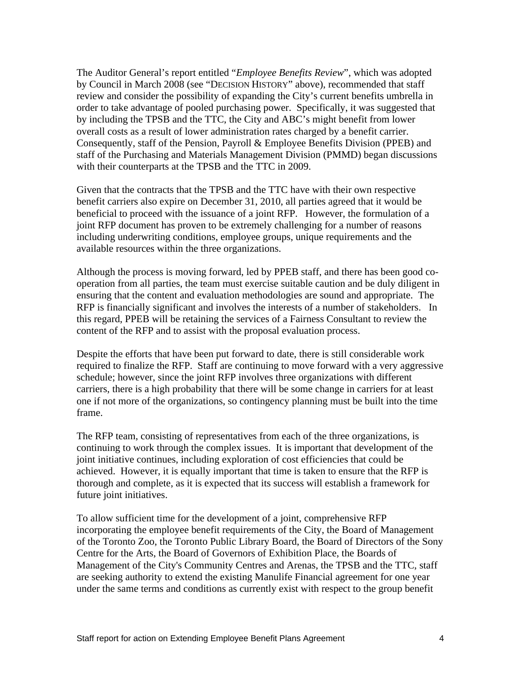The Auditor General's report entitled "*Employee Benefits Review*", which was adopted by Council in March 2008 (see "DECISION HISTORY" above), recommended that staff review and consider the possibility of expanding the City's current benefits umbrella in order to take advantage of pooled purchasing power. Specifically, it was suggested that by including the TPSB and the TTC, the City and ABC's might benefit from lower overall costs as a result of lower administration rates charged by a benefit carrier. Consequently, staff of the Pension, Payroll & Employee Benefits Division (PPEB) and staff of the Purchasing and Materials Management Division (PMMD) began discussions with their counterparts at the TPSB and the TTC in 2009.

Given that the contracts that the TPSB and the TTC have with their own respective benefit carriers also expire on December 31, 2010, all parties agreed that it would be beneficial to proceed with the issuance of a joint RFP. However, the formulation of a joint RFP document has proven to be extremely challenging for a number of reasons including underwriting conditions, employee groups, unique requirements and the available resources within the three organizations.

Although the process is moving forward, led by PPEB staff, and there has been good co operation from all parties, the team must exercise suitable caution and be duly diligent in ensuring that the content and evaluation methodologies are sound and appropriate. The RFP is financially significant and involves the interests of a number of stakeholders. In this regard, PPEB will be retaining the services of a Fairness Consultant to review the content of the RFP and to assist with the proposal evaluation process.

Despite the efforts that have been put forward to date, there is still considerable work required to finalize the RFP. Staff are continuing to move forward with a very aggressive schedule; however, since the joint RFP involves three organizations with different carriers, there is a high probability that there will be some change in carriers for at least one if not more of the organizations, so contingency planning must be built into the time frame.

The RFP team, consisting of representatives from each of the three organizations, is continuing to work through the complex issues. It is important that development of the joint initiative continues, including exploration of cost efficiencies that could be achieved. However, it is equally important that time is taken to ensure that the RFP is thorough and complete, as it is expected that its success will establish a framework for future joint initiatives.

To allow sufficient time for the development of a joint, comprehensive RFP incorporating the employee benefit requirements of the City, the Board of Management of the Toronto Zoo, the Toronto Public Library Board, the Board of Directors of the Sony Centre for the Arts, the Board of Governors of Exhibition Place, the Boards of Management of the City's Community Centres and Arenas, the TPSB and the TTC, staff are seeking authority to extend the existing Manulife Financial agreement for one year under the same terms and conditions as currently exist with respect to the group benefit